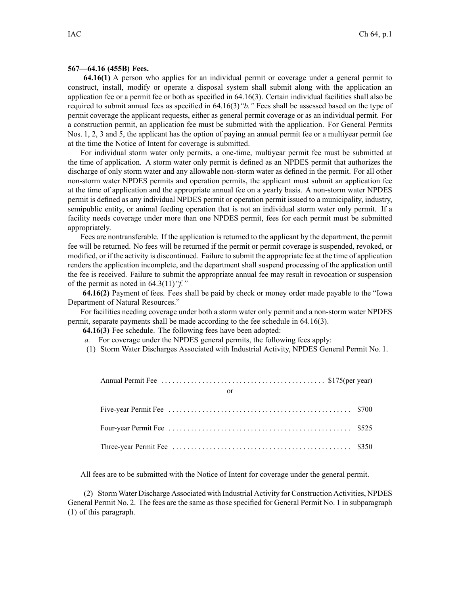## **567—64.16 (455B) Fees.**

**64.16(1)** A person who applies for an individual permit or coverage under <sup>a</sup> general permit to construct, install, modify or operate <sup>a</sup> disposal system shall submit along with the application an application fee or <sup>a</sup> permit fee or both as specified in 64.16(3). Certain individual facilities shall also be required to submit annual fees as specified in 64.16(3)*"b."* Fees shall be assessed based on the type of permit coverage the applicant requests, either as general permit coverage or as an individual permit. For <sup>a</sup> construction permit, an application fee must be submitted with the application. For General Permits Nos. 1, 2, 3 and 5, the applicant has the option of paying an annual permit fee or <sup>a</sup> multiyear permit fee at the time the Notice of Intent for coverage is submitted.

For individual storm water only permits, <sup>a</sup> one-time, multiyear permit fee must be submitted at the time of application. A storm water only permit is defined as an NPDES permit that authorizes the discharge of only storm water and any allowable non-storm water as defined in the permit. For all other non-storm water NPDES permits and operation permits, the applicant must submit an application fee at the time of application and the appropriate annual fee on <sup>a</sup> yearly basis. A non-storm water NPDES permit is defined as any individual NPDES permit or operation permit issued to <sup>a</sup> municipality, industry, semipublic entity, or animal feeding operation that is not an individual storm water only permit. If <sup>a</sup> facility needs coverage under more than one NPDES permit, fees for each permit must be submitted appropriately.

Fees are nontransferable. If the application is returned to the applicant by the department, the permit fee will be returned. No fees will be returned if the permit or permit coverage is suspended, revoked, or modified, or if the activity is discontinued. Failure to submit the appropriate fee at the time of application renders the application incomplete, and the department shall suspend processing of the application until the fee is received. Failure to submit the appropriate annual fee may result in revocation or suspension of the permit as noted in 64.3(11)*"f."*

**64.16(2)** Payment of fees. Fees shall be paid by check or money order made payable to the "Iowa Department of Natural Resources."

For facilities needing coverage under both <sup>a</sup> storm water only permit and <sup>a</sup> non-storm water NPDES permit, separate payments shall be made according to the fee schedule in 64.16(3).

**64.16(3)** Fee schedule. The following fees have been adopted:

- *a.* For coverage under the NPDES general permits, the following fees apply:
- (1) Storm Water Discharges Associated with Industrial Activity, NPDES General Permit No. 1.

| or |  |
|----|--|
|    |  |
|    |  |
|    |  |

All fees are to be submitted with the Notice of Intent for coverage under the general permit.

(2) Storm Water Discharge Associated with Industrial Activity for Construction Activities, NPDES General Permit No. 2. The fees are the same as those specified for General Permit No. 1 in subparagraph (1) of this paragraph.